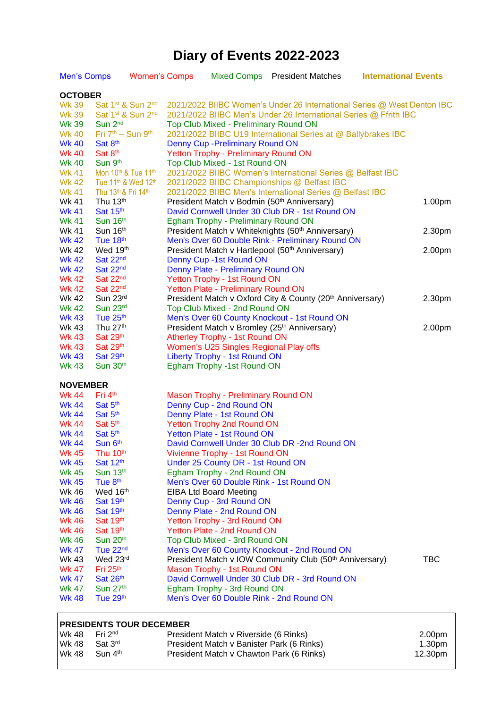## **Diary of Events 2022-2023**

| Men's Comps     |                                             | <b>Women's Comps</b> |  |                                            | Mixed Comps President Matches                                           | <b>International Events</b> |            |  |  |
|-----------------|---------------------------------------------|----------------------|--|--------------------------------------------|-------------------------------------------------------------------------|-----------------------------|------------|--|--|
|                 | <b>OCTOBER</b>                              |                      |  |                                            |                                                                         |                             |            |  |  |
| <b>Wk 39</b>    | Sat 1st & Sun 2nd                           |                      |  |                                            | 2021/2022 BIIBC Women's Under 26 International Series @ West Denton IBC |                             |            |  |  |
| <b>Wk 39</b>    | Sat 1st & Sun 2nd                           |                      |  |                                            | 2021/2022 BIIBC Men's Under 26 International Series @ Ffrith IBC        |                             |            |  |  |
| <b>Wk 39</b>    | Sun 2 <sup>nd</sup>                         |                      |  | Top Club Mixed - Preliminary Round ON      |                                                                         |                             |            |  |  |
| <b>Wk 40</b>    | Fri 7 <sup>th</sup> - Sun 9 <sup>th</sup>   |                      |  |                                            | 2021/2022 BIIBC U19 International Series at @ Ballybrakes IBC           |                             |            |  |  |
| <b>Wk 40</b>    | Sat 8 <sup>th</sup>                         |                      |  | Denny Cup - Preliminary Round ON           |                                                                         |                             |            |  |  |
| <b>Wk 40</b>    | Sat 8 <sup>th</sup>                         |                      |  | Yetton Trophy - Preliminary Round ON       |                                                                         |                             |            |  |  |
| <b>Wk 40</b>    | Sun 9th                                     |                      |  | Top Club Mixed - 1st Round ON              |                                                                         |                             |            |  |  |
| <b>Wk 41</b>    | Mon 10th & Tue 11th                         |                      |  |                                            | 2021/2022 BIIBC Women's International Series @ Belfast IBC              |                             |            |  |  |
| <b>Wk 42</b>    | Tue 11 <sup>th</sup> & Wed 12 <sup>th</sup> |                      |  |                                            | 2021/2022 BIIBC Championships @ Belfast IBC                             |                             |            |  |  |
| <b>Wk 41</b>    | Thu 13th & Fri 14th                         |                      |  |                                            | 2021/2022 BIIBC Men's International Series @ Belfast IBC                |                             |            |  |  |
| Wk 41           | Thu 13 <sup>th</sup>                        |                      |  |                                            | President Match v Bodmin (50th Anniversary)                             |                             | 1.00pm     |  |  |
| <b>Wk 41</b>    | Sat $15th$                                  |                      |  |                                            | David Cornwell Under 30 Club DR - 1st Round ON                          |                             |            |  |  |
| <b>Wk 41</b>    | Sun 16th                                    |                      |  | Egham Trophy - Preliminary Round ON        |                                                                         |                             |            |  |  |
| Wk 41           | Sun 16th                                    |                      |  |                                            | President Match v Whiteknights (50 <sup>th</sup> Anniversary)           |                             | 2.30pm     |  |  |
| <b>Wk 42</b>    | Tue 18th                                    |                      |  |                                            | Men's Over 60 Double Rink - Preliminary Round ON                        |                             |            |  |  |
| <b>Wk 42</b>    | Wed 19th                                    |                      |  |                                            | President Match v Hartlepool (50 <sup>th</sup> Anniversary)             |                             | 2.00pm     |  |  |
| <b>Wk 42</b>    | Sat 22 <sup>nd</sup>                        |                      |  | Denny Cup -1st Round ON                    |                                                                         |                             |            |  |  |
| <b>Wk 42</b>    | Sat 22 <sup>nd</sup>                        |                      |  | Denny Plate - Preliminary Round ON         |                                                                         |                             |            |  |  |
| <b>Wk 42</b>    | Sat 22 <sup>nd</sup>                        |                      |  | Yetton Trophy - 1st Round ON               |                                                                         |                             |            |  |  |
| <b>Wk 42</b>    | Sat 22 <sup>nd</sup>                        |                      |  | Yetton Plate - Preliminary Round ON        |                                                                         |                             |            |  |  |
| Wk 42           | Sun 23rd                                    |                      |  |                                            | President Match v Oxford City & County (20 <sup>th</sup> Anniversary)   |                             | 2.30pm     |  |  |
| <b>Wk 42</b>    | Sun 23rd                                    |                      |  | Top Club Mixed - 2nd Round ON              |                                                                         |                             |            |  |  |
| <b>Wk 43</b>    | Tue 25th                                    |                      |  |                                            | Men's Over 60 County Knockout - 1st Round ON                            |                             |            |  |  |
| Wk 43           | Thu 27 <sup>th</sup>                        |                      |  |                                            | President Match v Bromley (25th Anniversary)                            |                             | 2.00pm     |  |  |
| <b>Wk 43</b>    | Sat 29th                                    |                      |  | Atherley Trophy - 1st Round ON             |                                                                         |                             |            |  |  |
| <b>Wk 43</b>    | Sat 29th                                    |                      |  | Women's U25 Singles Regional Play offs     |                                                                         |                             |            |  |  |
| <b>Wk 43</b>    | Sat 29th                                    |                      |  | <b>Liberty Trophy - 1st Round ON</b>       |                                                                         |                             |            |  |  |
| <b>Wk 43</b>    | Sun 30th                                    |                      |  | Egham Trophy -1st Round ON                 |                                                                         |                             |            |  |  |
|                 |                                             |                      |  |                                            |                                                                         |                             |            |  |  |
| <b>NOVEMBER</b> |                                             |                      |  |                                            |                                                                         |                             |            |  |  |
| <b>Wk 44</b>    | Fri 4 <sup>th</sup>                         |                      |  | <b>Mason Trophy - Preliminary Round ON</b> |                                                                         |                             |            |  |  |
| <b>Wk 44</b>    | Sat 5 <sup>th</sup>                         |                      |  | Denny Cup - 2nd Round ON                   |                                                                         |                             |            |  |  |
| <b>Wk 44</b>    | Sat 5th                                     |                      |  | Denny Plate - 1st Round ON                 |                                                                         |                             |            |  |  |
| <b>Wk 44</b>    | Sat 5 <sup>th</sup>                         |                      |  | <b>Yetton Trophy 2nd Round ON</b>          |                                                                         |                             |            |  |  |
| <b>Wk 44</b>    | Sat 5th                                     |                      |  | Yetton Plate - 1st Round ON                |                                                                         |                             |            |  |  |
| <b>Wk 44</b>    | Sun 6th                                     |                      |  |                                            | David Cornwell Under 30 Club DR -2nd Round ON                           |                             |            |  |  |
| <b>Wk 45</b>    | Thu 10 <sup>th</sup>                        |                      |  | Vivienne Trophy - 1st Round ON             |                                                                         |                             |            |  |  |
| <b>Wk 45</b>    | Sat 12th                                    |                      |  | Under 25 County DR - 1st Round ON          |                                                                         |                             |            |  |  |
| <b>Wk 45</b>    | Sun 13th                                    |                      |  | Egham Trophy - 2nd Round ON                |                                                                         |                             |            |  |  |
| <b>Wk 45</b>    | Tue 8 <sup>th</sup>                         |                      |  |                                            | Men's Over 60 Double Rink - 1st Round ON                                |                             |            |  |  |
| Wk 46           | Wed 16th                                    |                      |  | <b>EIBA Ltd Board Meeting</b>              |                                                                         |                             |            |  |  |
| <b>Wk 46</b>    | Sat 19th                                    |                      |  | Denny Cup - 3rd Round ON                   |                                                                         |                             |            |  |  |
| <b>Wk 46</b>    | Sat 19th                                    |                      |  | Denny Plate - 2nd Round ON                 |                                                                         |                             |            |  |  |
| <b>Wk 46</b>    | Sat 19th                                    |                      |  | Yetton Trophy - 3rd Round ON               |                                                                         |                             |            |  |  |
| <b>Wk 46</b>    | Sat 19th                                    |                      |  | Yetton Plate - 2nd Round ON                |                                                                         |                             |            |  |  |
| Wk 46           | Sun 20 <sup>th</sup>                        |                      |  | Top Club Mixed - 3rd Round ON              |                                                                         |                             |            |  |  |
| <b>Wk 47</b>    | Tue 22 <sup>nd</sup>                        |                      |  |                                            | Men's Over 60 County Knockout - 2nd Round ON                            |                             |            |  |  |
| Wk 43           | Wed 23rd                                    |                      |  |                                            | President Match v IOW Community Club (50 <sup>th</sup> Anniversary)     |                             | <b>TBC</b> |  |  |
| <b>Wk 47</b>    | Fri 25 <sup>th</sup>                        |                      |  | Mason Trophy - 1st Round ON                |                                                                         |                             |            |  |  |
| <b>Wk 47</b>    | Sat $26th$                                  |                      |  |                                            | David Cornwell Under 30 Club DR - 3rd Round ON                          |                             |            |  |  |
| <b>Wk 47</b>    | Sun 27th                                    |                      |  | Egham Trophy - 3rd Round ON                |                                                                         |                             |            |  |  |
| <b>Wk 48</b>    | Tue 29th                                    |                      |  |                                            | Men's Over 60 Double Rink - 2nd Round ON                                |                             |            |  |  |

## **PRESIDENTS TOUR DECEMBER**

| l Wk 48. | Fri 2 <sup>nd</sup> | President Match v Riverside (6 Rinks)     | 2.00pm  |
|----------|---------------------|-------------------------------------------|---------|
| l Wk 48. | Sat 3rd             | President Match v Banister Park (6 Rinks) | 1.30pm  |
| l Wk 48  | Sun 4 <sup>th</sup> | President Match v Chawton Park (6 Rinks)  | 12.30pm |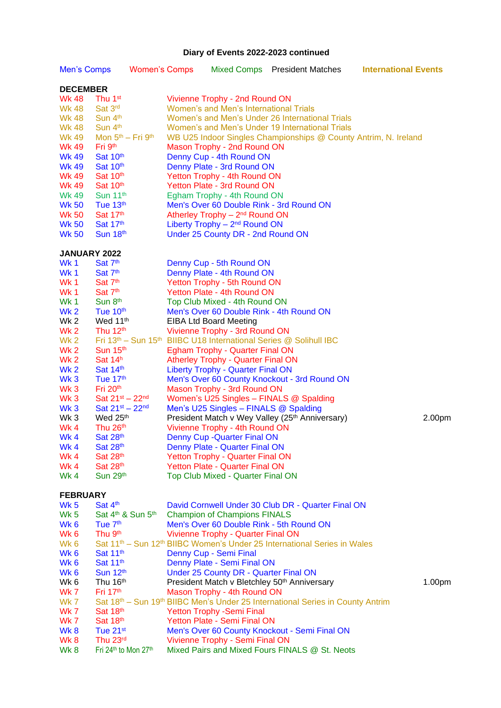## **Diary of Events 2022-2023 continued**

| <b>Men's Comps</b>           |                                              | <b>Women's Comps</b> |  | <b>Mixed Comps</b>                                             | <b>President Matches</b>                                                                               | <b>International Events</b> |  |  |  |  |
|------------------------------|----------------------------------------------|----------------------|--|----------------------------------------------------------------|--------------------------------------------------------------------------------------------------------|-----------------------------|--|--|--|--|
|                              | <b>DECEMBER</b>                              |                      |  |                                                                |                                                                                                        |                             |  |  |  |  |
| <b>Wk 48</b>                 | Thu 1 <sup>st</sup>                          |                      |  | Vivienne Trophy - 2nd Round ON                                 |                                                                                                        |                             |  |  |  |  |
| <b>Wk 48</b>                 | Sat 3rd                                      |                      |  | Women's and Men's International Trials                         |                                                                                                        |                             |  |  |  |  |
| <b>Wk 48</b>                 | Sun 4 <sup>th</sup>                          |                      |  |                                                                | Women's and Men's Under 26 International Trials                                                        |                             |  |  |  |  |
| <b>Wk 48</b>                 | Sun 4 <sup>th</sup>                          |                      |  |                                                                | Women's and Men's Under 19 International Trials                                                        |                             |  |  |  |  |
| <b>Wk 49</b>                 | Mon 5 <sup>th</sup> - Fri 9 <sup>th</sup>    |                      |  |                                                                | WB U25 Indoor Singles Championships @ County Antrim, N. Ireland                                        |                             |  |  |  |  |
| <b>Wk 49</b>                 | Fri 9 <sup>th</sup>                          |                      |  | Mason Trophy - 2nd Round ON<br>Denny Cup - 4th Round ON        |                                                                                                        |                             |  |  |  |  |
| <b>Wk 49</b><br><b>Wk 49</b> | Sat 10th<br>Sat 10th                         |                      |  | Denny Plate - 3rd Round ON                                     |                                                                                                        |                             |  |  |  |  |
| <b>Wk 49</b>                 | Sat 10th                                     |                      |  | Yetton Trophy - 4th Round ON                                   |                                                                                                        |                             |  |  |  |  |
| <b>Wk 49</b>                 | Sat 10th                                     |                      |  | Yetton Plate - 3rd Round ON                                    |                                                                                                        |                             |  |  |  |  |
| <b>Wk 49</b>                 | Sun 11 <sup>th</sup>                         |                      |  | Egham Trophy - 4th Round ON                                    |                                                                                                        |                             |  |  |  |  |
| <b>Wk 50</b>                 | Tue $13th$                                   |                      |  |                                                                | Men's Over 60 Double Rink - 3rd Round ON                                                               |                             |  |  |  |  |
| <b>Wk 50</b>                 | Sat 17th                                     |                      |  | Atherley Trophy - 2 <sup>nd</sup> Round ON                     |                                                                                                        |                             |  |  |  |  |
| <b>Wk 50</b>                 | Sat 17th                                     |                      |  | Liberty Trophy $-2nd$ Round ON                                 |                                                                                                        |                             |  |  |  |  |
| <b>Wk 50</b>                 | Sun 18th                                     |                      |  | Under 25 County DR - 2nd Round ON                              |                                                                                                        |                             |  |  |  |  |
| JANUARY 2022                 |                                              |                      |  |                                                                |                                                                                                        |                             |  |  |  |  |
| Wk 1                         | Sat 7 <sup>th</sup>                          |                      |  | Denny Cup - 5th Round ON                                       |                                                                                                        |                             |  |  |  |  |
| Wk1                          | Sat 7th                                      |                      |  | Denny Plate - 4th Round ON                                     |                                                                                                        |                             |  |  |  |  |
| Wk 1                         | Sat 7 <sup>th</sup>                          |                      |  | Yetton Trophy - 5th Round ON                                   |                                                                                                        |                             |  |  |  |  |
| Wk 1                         | Sat 7 <sup>th</sup>                          |                      |  | Yetton Plate - 4th Round ON                                    |                                                                                                        |                             |  |  |  |  |
| <b>Wk 1</b>                  | Sun 8th                                      |                      |  | Top Club Mixed - 4th Round ON                                  |                                                                                                        |                             |  |  |  |  |
| Wk 2<br>Wk 2                 | Tue 10 <sup>th</sup><br>Wed 11 <sup>th</sup> |                      |  | <b>EIBA Ltd Board Meeting</b>                                  | Men's Over 60 Double Rink - 4th Round ON                                                               |                             |  |  |  |  |
| Wk 2                         | Thu 12 <sup>th</sup>                         |                      |  | Vivienne Trophy - 3rd Round ON                                 |                                                                                                        |                             |  |  |  |  |
| Wk 2                         |                                              |                      |  |                                                                | Fri 13 <sup>th</sup> – Sun 15 <sup>th</sup> BIIBC U18 International Series @ Solihull IBC              |                             |  |  |  |  |
| Wk 2                         | Sun $15th$                                   |                      |  | <b>Egham Trophy - Quarter Final ON</b>                         |                                                                                                        |                             |  |  |  |  |
| Wk 2                         | Sat $14h$                                    |                      |  | <b>Atherley Trophy - Quarter Final ON</b>                      |                                                                                                        |                             |  |  |  |  |
| Wk <sub>2</sub>              | Sat 14th                                     |                      |  | <b>Liberty Trophy - Quarter Final ON</b>                       |                                                                                                        |                             |  |  |  |  |
| Wk <sub>3</sub>              | Tue 17th                                     |                      |  |                                                                | Men's Over 60 County Knockout - 3rd Round ON                                                           |                             |  |  |  |  |
| Wk <sub>3</sub>              | Fri 20 <sup>th</sup>                         |                      |  | Mason Trophy - 3rd Round ON                                    |                                                                                                        |                             |  |  |  |  |
| Wk <sub>3</sub>              | Sat $21^{st} - 22^{nd}$                      |                      |  |                                                                | Women's U25 Singles - FINALS @ Spalding                                                                |                             |  |  |  |  |
| Wk <sub>3</sub>              | Sat $21^{st} - 22^{nd}$                      |                      |  | Men's U25 Singles - FINALS @ Spalding                          |                                                                                                        |                             |  |  |  |  |
| Wk 3                         | Wed 25 <sup>th</sup>                         |                      |  |                                                                | President Match v Wey Valley (25 <sup>th</sup> Anniversary)                                            | 2.00pm                      |  |  |  |  |
| Wk 4                         | Thu 26th                                     |                      |  | Vivienne Trophy - 4th Round ON                                 |                                                                                                        |                             |  |  |  |  |
| Wk 4<br>Wk 4                 | Sat 28th<br>Sat 28th                         |                      |  | Denny Cup - Quarter Final ON<br>Denny Plate - Quarter Final ON |                                                                                                        |                             |  |  |  |  |
| Wk 4                         | Sat 28th                                     |                      |  | <b>Yetton Trophy - Quarter Final ON</b>                        |                                                                                                        |                             |  |  |  |  |
| Wk 4                         | Sat 28th                                     |                      |  | <b>Yetton Plate - Quarter Final ON</b>                         |                                                                                                        |                             |  |  |  |  |
| Wk 4                         | Sun 29th                                     |                      |  | Top Club Mixed - Quarter Final ON                              |                                                                                                        |                             |  |  |  |  |
|                              | <b>FEBRUARY</b>                              |                      |  |                                                                |                                                                                                        |                             |  |  |  |  |
| Wk 5                         | Sat 4th                                      |                      |  |                                                                | David Cornwell Under 30 Club DR - Quarter Final ON                                                     |                             |  |  |  |  |
| Wk 5                         | Sat 4 <sup>th</sup> & Sun 5 <sup>th</sup>    |                      |  | <b>Champion of Champions FINALS</b>                            |                                                                                                        |                             |  |  |  |  |
| Wk 6                         | Tue 7 <sup>th</sup>                          |                      |  |                                                                | Men's Over 60 Double Rink - 5th Round ON                                                               |                             |  |  |  |  |
| Wk 6                         | Thu 9 <sup>th</sup>                          |                      |  | Vivienne Trophy - Quarter Final ON                             |                                                                                                        |                             |  |  |  |  |
| Wk 6                         |                                              |                      |  |                                                                | Sat 11 <sup>th</sup> – Sun 12 <sup>th</sup> BIIBC Women's Under 25 International Series in Wales       |                             |  |  |  |  |
| Wk <sub>6</sub>              | Sat 11 <sup>th</sup>                         |                      |  | Denny Cup - Semi Final                                         |                                                                                                        |                             |  |  |  |  |
| Wk <sub>6</sub>              | Sat 11 <sup>th</sup>                         |                      |  | Denny Plate - Semi Final ON                                    |                                                                                                        |                             |  |  |  |  |
| Wk <sub>6</sub>              | Sun 12 <sup>th</sup>                         |                      |  | Under 25 County DR - Quarter Final ON                          |                                                                                                        |                             |  |  |  |  |
| Wk 6                         | Thu 16th                                     |                      |  |                                                                | President Match v Bletchley 50 <sup>th</sup> Anniversary                                               | 1.00pm                      |  |  |  |  |
| Wk 7<br>Wk 7                 | Fri 17th                                     |                      |  | Mason Trophy - 4th Round ON                                    |                                                                                                        |                             |  |  |  |  |
| Wk 7                         | Sat 18th                                     |                      |  | <b>Yetton Trophy -Semi Final</b>                               | Sat 18 <sup>th</sup> – Sun 19 <sup>th</sup> BIIBC Men's Under 25 International Series in County Antrim |                             |  |  |  |  |
| <b>Wk 7</b>                  | Sat 18th                                     |                      |  | Yetton Plate - Semi Final ON                                   |                                                                                                        |                             |  |  |  |  |
| Wk8                          | Tue 21 <sup>st</sup>                         |                      |  |                                                                | Men's Over 60 County Knockout - Semi Final ON                                                          |                             |  |  |  |  |
| Wk 8                         | Thu 23rd                                     |                      |  | Vivienne Trophy - Semi Final ON                                |                                                                                                        |                             |  |  |  |  |
| Wk 8                         | Fri 24th to Mon 27th                         |                      |  |                                                                | Mixed Pairs and Mixed Fours FINALS @ St. Neots                                                         |                             |  |  |  |  |